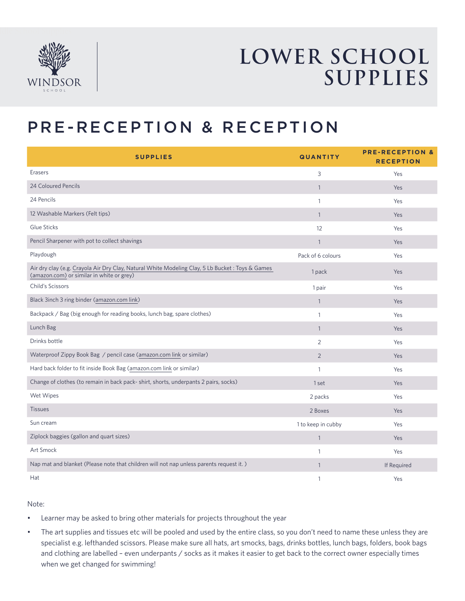

## **LOWER SCHOOL SUPPLIES**

### PRE-RECEPTION & RECEPTION

| <b>SUPPLIES</b>                                                                                                                               | <b>QUANTITY</b>    | <b>PRE-RECEPTION &amp;</b><br><b>RECEPTION</b> |
|-----------------------------------------------------------------------------------------------------------------------------------------------|--------------------|------------------------------------------------|
| Erasers                                                                                                                                       | 3                  | Yes                                            |
| 24 Coloured Pencils                                                                                                                           | $\mathbf{1}$       | Yes                                            |
| 24 Pencils                                                                                                                                    | $\mathbf{1}$       | Yes                                            |
| 12 Washable Markers (Felt tips)                                                                                                               | $\mathbf{1}$       | Yes                                            |
| Glue Sticks                                                                                                                                   | 12                 | Yes                                            |
| Pencil Sharpener with pot to collect shavings                                                                                                 | $\mathbf{1}$       | Yes                                            |
| Playdough                                                                                                                                     | Pack of 6 colours  | Yes                                            |
| Air dry clay (e.g. Crayola Air Dry Clay, Natural White Modeling Clay, 5 Lb Bucket : Toys & Games<br>(amazon.com) or similar in white or grey) | 1 pack             | Yes                                            |
| Child's Scissors                                                                                                                              | 1 pair             | Yes                                            |
| Black 3inch 3 ring binder (amazon.com link)                                                                                                   | $\mathbf{1}$       | Yes                                            |
| Backpack / Bag (big enough for reading books, lunch bag, spare clothes)                                                                       | 1                  | Yes                                            |
| Lunch Bag                                                                                                                                     | $\mathbf{1}$       | Yes                                            |
| Drinks bottle                                                                                                                                 | $\overline{2}$     | Yes                                            |
| Waterproof Zippy Book Bag / pencil case (amazon.com link or similar)                                                                          | $\overline{2}$     | Yes                                            |
| Hard back folder to fit inside Book Bag (amazon.com link or similar)                                                                          | $\mathbf{1}$       | Yes                                            |
| Change of clothes (to remain in back pack-shirt, shorts, underpants 2 pairs, socks)                                                           | 1 set              | Yes                                            |
| Wet Wipes                                                                                                                                     | 2 packs            | Yes                                            |
| <b>Tissues</b>                                                                                                                                | 2 Boxes            | Yes                                            |
| Sun cream                                                                                                                                     | 1 to keep in cubby | Yes                                            |
| Ziplock baggies (gallon and quart sizes)                                                                                                      | $\mathbf{1}$       | Yes                                            |
| Art Smock                                                                                                                                     | $\mathbf{1}$       | Yes                                            |
| Nap mat and blanket (Please note that children will not nap unless parents request it.)                                                       | $\mathbf{1}$       | If Required                                    |
| Hat                                                                                                                                           | $\mathbf{1}$       | Yes                                            |

Note:

- Learner may be asked to bring other materials for projects throughout the year
- The art supplies and tissues etc will be pooled and used by the entire class, so you don't need to name these unless they are specialist e.g. lefthanded scissors. Please make sure all hats, art smocks, bags, drinks bottles, lunch bags, folders, book bags and clothing are labelled – even underpants / socks as it makes it easier to get back to the correct owner especially times when we get changed for swimming!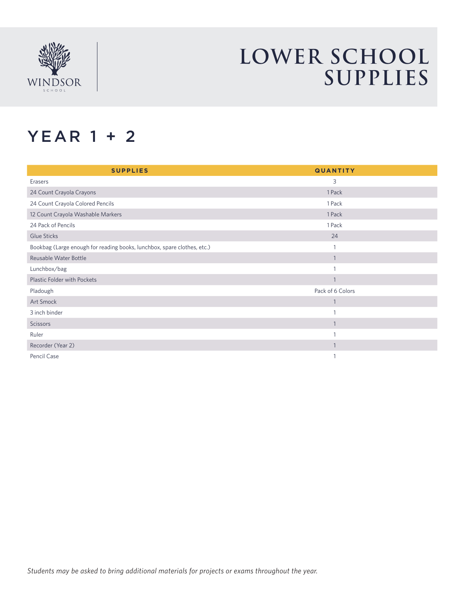

## **LOWER SCHOOL SUPPLIES**

#### YEAR 1 + 2

| <b>SUPPLIES</b>                                                         | <b>QUANTITY</b>  |
|-------------------------------------------------------------------------|------------------|
| Erasers                                                                 | 3                |
| 24 Count Crayola Crayons                                                | 1 Pack           |
| 24 Count Crayola Colored Pencils                                        | 1 Pack           |
| 12 Count Crayola Washable Markers                                       | 1 Pack           |
| 24 Pack of Pencils                                                      | 1 Pack           |
| Glue Sticks                                                             | 24               |
| Bookbag (Large enough for reading books, lunchbox, spare clothes, etc.) |                  |
| Reusable Water Bottle                                                   |                  |
| Lunchbox/bag                                                            |                  |
| <b>Plastic Folder with Pockets</b>                                      | $\mathbf{1}$     |
| Pladough                                                                | Pack of 6 Colors |
| Art Smock                                                               | $\mathbf{1}$     |
| 3 inch binder                                                           |                  |
| <b>Scissors</b>                                                         | $\mathbf{1}$     |
| Ruler                                                                   |                  |
| Recorder (Year 2)                                                       | $\mathbf{1}$     |
| Pencil Case                                                             |                  |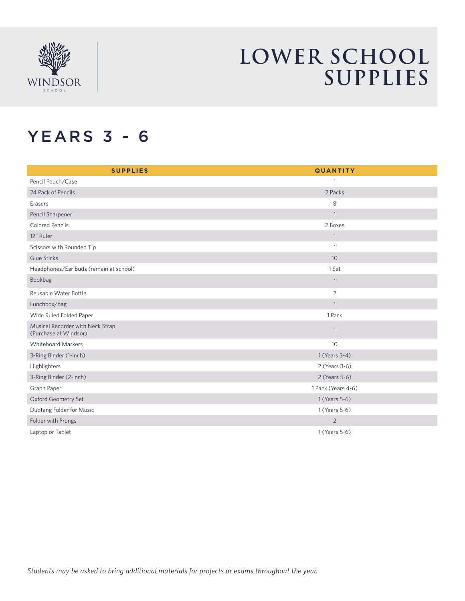

## **LOWER SCHOOL SUPPLIES**

#### YEARS 3 - 6

| <b>SUPPLIES</b>                                           | <b>QUANTITY</b>    |  |
|-----------------------------------------------------------|--------------------|--|
| Pencil Pouch/Case                                         | $\mathbf{1}$       |  |
| 24 Pack of Pencils                                        | 2 Packs            |  |
| Erasers                                                   | 8                  |  |
| Pencil Sharpener                                          | $\mathbf{1}$       |  |
| <b>Colored Pencils</b>                                    | 2 Boxes            |  |
| 12" Ruler                                                 | $\mathbf{1}$       |  |
| Scissors with Rounded Tip                                 | $\mathbf{1}$       |  |
| <b>Glue Sticks</b>                                        | 10 <sup>°</sup>    |  |
| Headphones/Ear Buds (remain at school)                    | 1 Set              |  |
| Bookbag                                                   | $\mathbf{1}$       |  |
| Reusable Water Bottle                                     | $\overline{2}$     |  |
| Lunchbox/bag                                              | $\mathbf{1}$       |  |
| Wide Ruled Folded Paper                                   | 1 Pack             |  |
| Musical Recorder with Neck Strap<br>(Purchase at Windsor) | $\mathbf{1}$       |  |
| <b>Whiteboard Markers</b>                                 | 10 <sup>°</sup>    |  |
| 3-Ring Binder (1-inch)                                    | 1 (Years 3-4)      |  |
| Highlighters                                              | 2 (Years 3-6)      |  |
| 3-Ring Binder (2-inch)                                    | 2 (Years 5-6)      |  |
| Graph Paper                                               | 1 Pack (Years 4-6) |  |
| Oxford Geometry Set                                       | 1 (Years 5-6)      |  |
| Duotang Folder for Music                                  | 1 (Years 5-6)      |  |
| Folder with Prongs                                        | $\overline{2}$     |  |
| Laptop or Tablet                                          | 1 (Years 5-6)      |  |